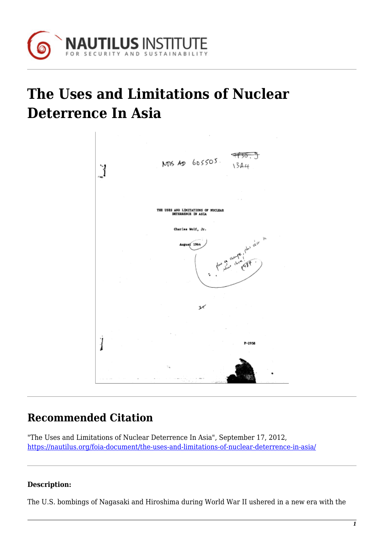

## **The Uses and Limitations of Nuclear Deterrence In Asia**



## **Recommended Citation**

"The Uses and Limitations of Nuclear Deterrence In Asia", September 17, 2012, <https://nautilus.org/foia-document/the-uses-and-limitations-of-nuclear-deterrence-in-asia/>

## **Description:**

The U.S. bombings of Nagasaki and Hiroshima during World War II ushered in a new era with the